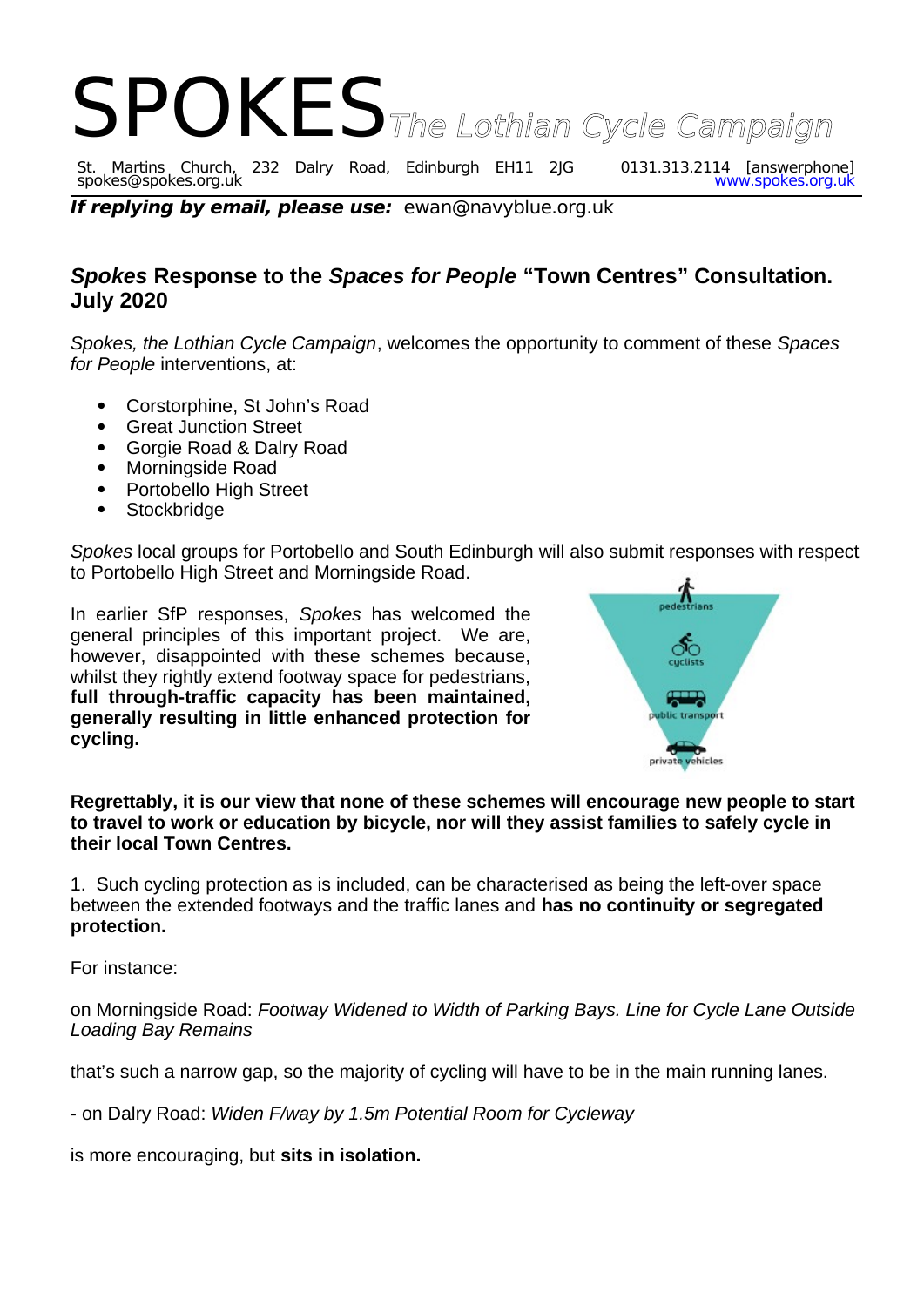

spokes@spokes.org.uk www.spokes.org.uk

**If replying by email, please use:** ewan@navyblue.org.uk

## *Spokes* **Response to the** *Spaces for People* **"Town Centres" Consultation. July 2020**

*Spokes, the Lothian Cycle Campaign*, welcomes the opportunity to comment of these *Spaces for People* interventions, at:

- Corstorphine, St John's Road
- Great Junction Street
- Gorgie Road & Dalry Road
- Morningside Road
- Portobello High Street
- **Stockbridge**

*Spokes* local groups for Portobello and South Edinburgh will also submit responses with respect to Portobello High Street and Morningside Road.

In earlier SfP responses, *Spokes* has welcomed the general principles of this important project. We are, however, disappointed with these schemes because, whilst they rightly extend footway space for pedestrians, **full through-traffic capacity has been maintained, generally resulting in little enhanced protection for cycling.** 



**Regrettably, it is our view that none of these schemes will encourage new people to start to travel to work or education by bicycle, nor will they assist families to safely cycle in their local Town Centres.**

1. Such cycling protection as is included, can be characterised as being the left-over space between the extended footways and the traffic lanes and **has no continuity or segregated protection.**

For instance:

on Morningside Road: *Footway Widened to Width of Parking Bays. Line for Cycle Lane Outside Loading Bay Remains*

that's such a narrow gap, so the majority of cycling will have to be in the main running lanes.

- on Dalry Road: *Widen F/way by 1.5m Potential Room for Cycleway*

is more encouraging, but **sits in isolation.**